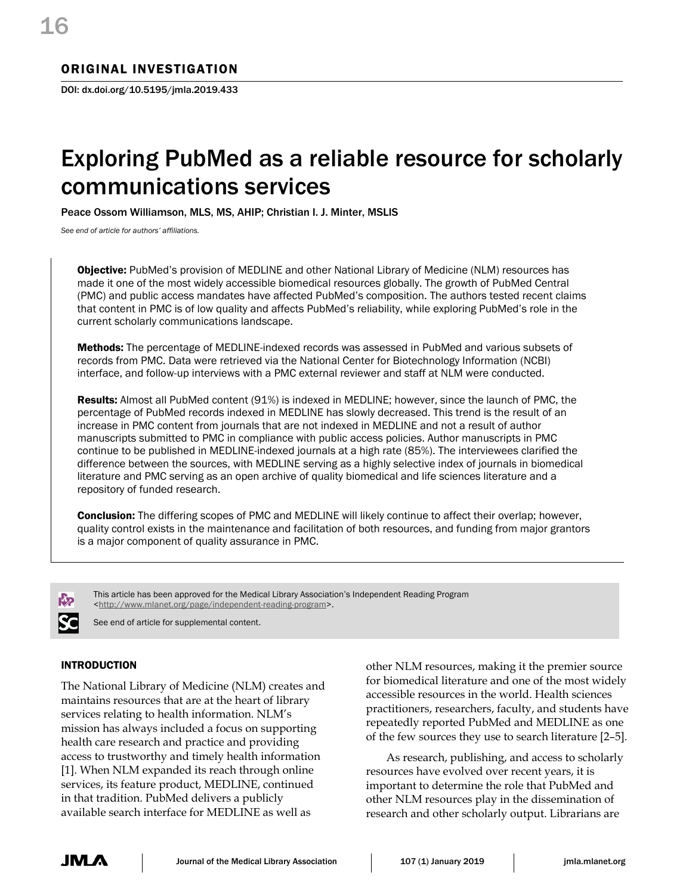## ORIGINAL INVESTIGATION

DOI: dx.doi.org/10.5195/jmla.2019.433

# Exploring PubMed as a reliable resource for scholarly communications services

Peace Ossom Williamson, MLS, MS, AHIP; Christian I. J. Minter, MSLIS

*See end of article for authors' affiliations.*

**Objective:** PubMed's provision of MEDLINE and other National Library of Medicine (NLM) resources has made it one of the most widely accessible biomedical resources globally. The growth of PubMed Central (PMC) and public access mandates have affected PubMed's composition. The authors tested recent claims that content in PMC is of low quality and affects PubMed's reliability, while exploring PubMed's role in the current scholarly communications landscape.

Methods: The percentage of MEDLINE-indexed records was assessed in PubMed and various subsets of records from PMC. Data were retrieved via the National Center for Biotechnology Information (NCBI) interface, and follow-up interviews with a PMC external reviewer and staff at NLM were conducted.

Results: Almost all PubMed content (91%) is indexed in MEDLINE; however, since the launch of PMC, the percentage of PubMed records indexed in MEDLINE has slowly decreased. This trend is the result of an increase in PMC content from journals that are not indexed in MEDLINE and not a result of author manuscripts submitted to PMC in compliance with public access policies. Author manuscripts in PMC continue to be published in MEDLINE-indexed journals at a high rate (85%). The interviewees clarified the difference between the sources, with MEDLINE serving as a highly selective index of journals in biomedical literature and PMC serving as an open archive of quality biomedical and life sciences literature and a repository of funded research.

Conclusion: The differing scopes of PMC and MEDLINE will likely continue to affect their overlap; however, quality control exists in the maintenance and facilitation of both resources, and funding from major grantors is a major component of quality assurance in PMC.

IФ Sc This article has been approved for the Medical Library Association's Independent Reading Program [<http://www.mlanet.org/page/independent-reading-program>](http://www.mlanet.org/page/independent-reading-program).



## INTRODUCTION

The National Library of Medicine (NLM) creates and maintains resources that are at the heart of library services relating to health information. NLM's mission has always included a focus on supporting health care research and practice and providing access to trustworthy and timely health information [1]. When NLM expanded its reach through online services, its feature product, MEDLINE, continued in that tradition. PubMed delivers a publicly available search interface for MEDLINE as well as

other NLM resources, making it the premier source for biomedical literature and one of the most widely accessible resources in the world. Health sciences practitioners, researchers, faculty, and students have repeatedly reported PubMed and MEDLINE as one of the few sources they use to search literature [2–5].

As research, publishing, and access to scholarly resources have evolved over recent years, it is important to determine the role that PubMed and other NLM resources play in the dissemination of research and other scholarly output. Librarians are

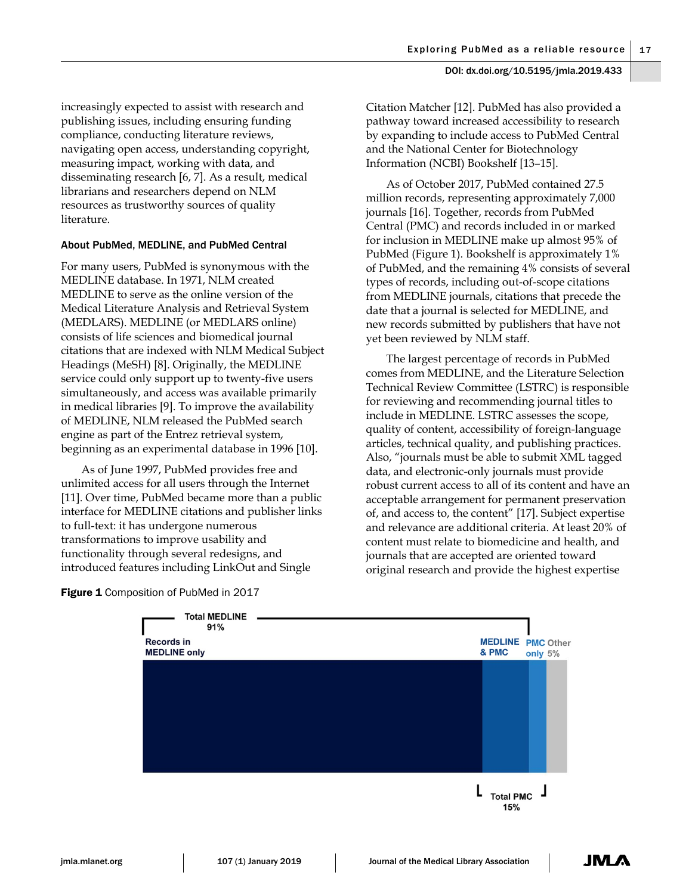increasingly expected to assist with research and publishing issues, including ensuring funding compliance, conducting literature reviews, navigating open access, understanding copyright, measuring impact, working with data, and disseminating research [6, 7]. As a result, medical librarians and researchers depend on NLM resources as trustworthy sources of quality literature.

## About PubMed, MEDLINE, and PubMed Central

For many users, PubMed is synonymous with the MEDLINE database. In 1971, NLM created MEDLINE to serve as the online version of the Medical Literature Analysis and Retrieval System (MEDLARS). MEDLINE (or MEDLARS online) consists of life sciences and biomedical journal citations that are indexed with NLM Medical Subject Headings (MeSH) [8]. Originally, the MEDLINE service could only support up to twenty-five users simultaneously, and access was available primarily in medical libraries [9]. To improve the availability of MEDLINE, NLM released the PubMed search engine as part of the Entrez retrieval system, beginning as an experimental database in 1996 [10].

As of June 1997, PubMed provides free and unlimited access for all users through the Internet [11]. Over time, PubMed became more than a public interface for MEDLINE citations and publisher links to full-text: it has undergone numerous transformations to improve usability and functionality through several redesigns, and introduced features including LinkOut and Single

Citation Matcher [12]. PubMed has also provided a pathway toward increased accessibility to research by expanding to include access to PubMed Central and the National Center for Biotechnology Information (NCBI) Bookshelf [13–15].

As of October 2017, PubMed contained 27.5 million records, representing approximately 7,000 journals [16]. Together, records from PubMed Central (PMC) and records included in or marked for inclusion in MEDLINE make up almost 95% of PubMed (Figure 1). Bookshelf is approximately 1% of PubMed, and the remaining 4% consists of several types of records, including out-of-scope citations from MEDLINE journals, citations that precede the date that a journal is selected for MEDLINE, and new records submitted by publishers that have not yet been reviewed by NLM staff.

The largest percentage of records in PubMed comes from MEDLINE, and the Literature Selection Technical Review Committee (LSTRC) is responsible for reviewing and recommending journal titles to include in MEDLINE. LSTRC assesses the scope, quality of content, accessibility of foreign-language articles, technical quality, and publishing practices. Also, "journals must be able to submit XML tagged data, and electronic-only journals must provide robust current access to all of its content and have an acceptable arrangement for permanent preservation of, and access to, the content" [17]. Subject expertise and relevance are additional criteria. At least 20% of content must relate to biomedicine and health, and journals that are accepted are oriented toward original research and provide the highest expertise



#### **Figure 1** Composition of PubMed in 2017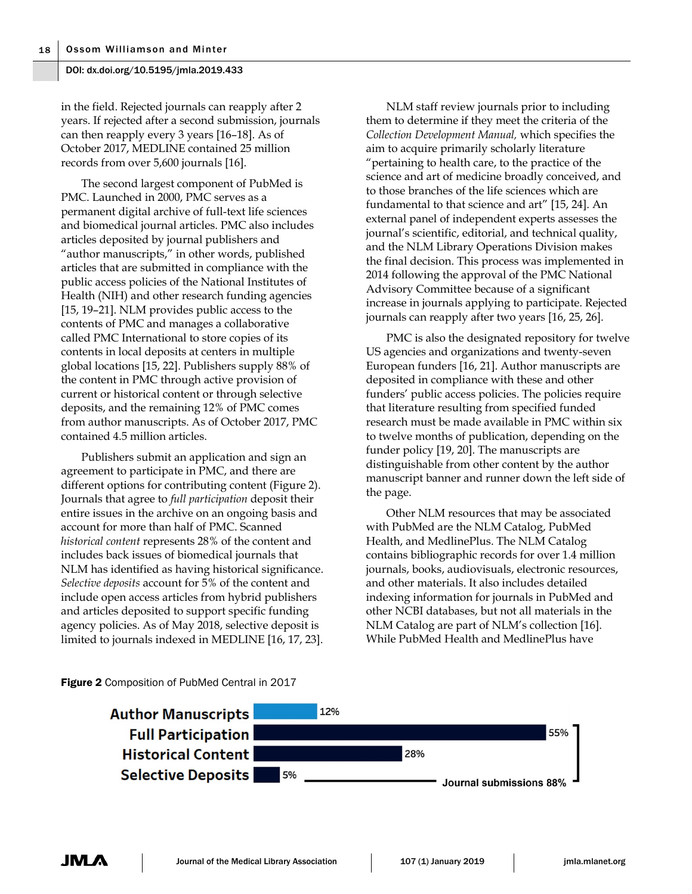in the field. Rejected journals can reapply after 2 years. If rejected after a second submission, journals can then reapply every 3 years [16–18]. As of October 2017, MEDLINE contained 25 million records from over 5,600 journals [16].

The second largest component of PubMed is PMC. Launched in 2000, PMC serves as a permanent digital archive of full-text life sciences and biomedical journal articles. PMC also includes articles deposited by journal publishers and "author manuscripts," in other words, published articles that are submitted in compliance with the public access policies of the National Institutes of Health (NIH) and other research funding agencies [15, 19–21]. NLM provides public access to the contents of PMC and manages a collaborative called PMC International to store copies of its contents in local deposits at centers in multiple global locations [15, 22]. Publishers supply 88% of the content in PMC through active provision of current or historical content or through selective deposits, and the remaining 12% of PMC comes from author manuscripts. As of October 2017, PMC contained 4.5 million articles.

Publishers submit an application and sign an agreement to participate in PMC, and there are different options for contributing content (Figure 2). Journals that agree to *full participation* deposit their entire issues in the archive on an ongoing basis and account for more than half of PMC. Scanned *historical content* represents 28% of the content and includes back issues of biomedical journals that NLM has identified as having historical significance. *Selective deposits* account for 5% of the content and include open access articles from hybrid publishers and articles deposited to support specific funding agency policies. As of May 2018, selective deposit is limited to journals indexed in MEDLINE [16, 17, 23].

NLM staff review journals prior to including them to determine if they meet the criteria of the *Collection Development Manual,* which specifies the aim to acquire primarily scholarly literature "pertaining to health care, to the practice of the science and art of medicine broadly conceived, and to those branches of the life sciences which are fundamental to that science and art" [15, 24]. An external panel of independent experts assesses the journal's scientific, editorial, and technical quality, and the NLM Library Operations Division makes the final decision. This process was implemented in 2014 following the approval of the PMC National Advisory Committee because of a significant increase in journals applying to participate. Rejected journals can reapply after two years [16, 25, 26].

PMC is also the designated repository for twelve US agencies and organizations and twenty-seven European funders [16, 21]. Author manuscripts are deposited in compliance with these and other funders' public access policies. The policies require that literature resulting from specified funded research must be made available in PMC within six to twelve months of publication, depending on the funder policy [19, 20]. The manuscripts are distinguishable from other content by the author manuscript banner and runner down the left side of the page.

Other NLM resources that may be associated with PubMed are the NLM Catalog, PubMed Health, and MedlinePlus. The NLM Catalog contains bibliographic records for over 1.4 million journals, books, audiovisuals, electronic resources, and other materials. It also includes detailed indexing information for journals in PubMed and other NCBI databases, but not all materials in the NLM Catalog are part of NLM's collection [16]. While PubMed Health and MedlinePlus have

Figure 2 Composition of PubMed Central in 2017

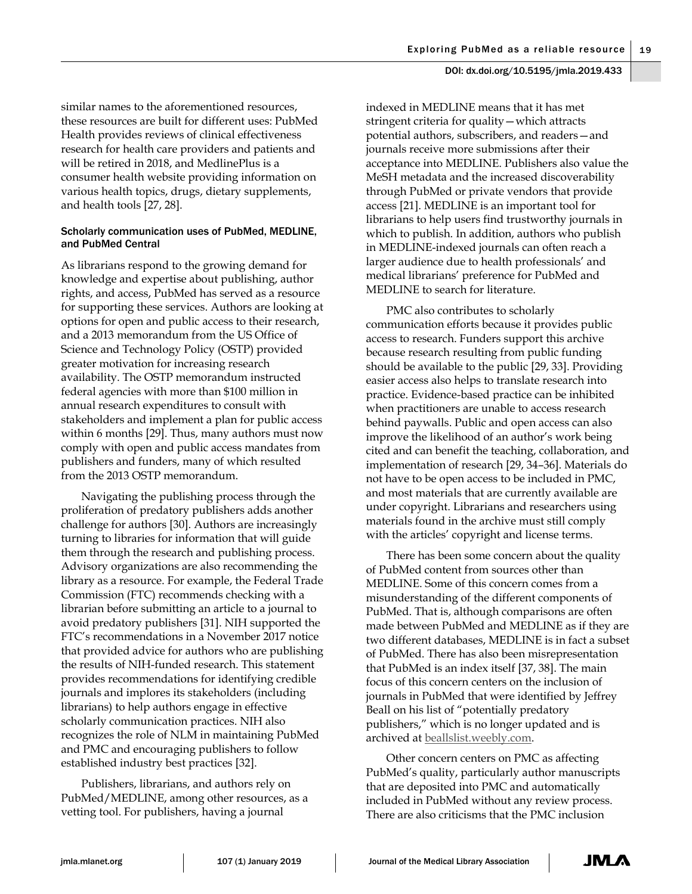similar names to the aforementioned resources, these resources are built for different uses: PubMed Health provides reviews of clinical effectiveness research for health care providers and patients and will be retired in 2018, and MedlinePlus is a consumer health website providing information on various health topics, drugs, dietary supplements, and health tools [27, 28].

## Scholarly communication uses of PubMed, MEDLINE, and PubMed Central

As librarians respond to the growing demand for knowledge and expertise about publishing, author rights, and access, PubMed has served as a resource for supporting these services. Authors are looking at options for open and public access to their research, and a 2013 memorandum from the US Office of Science and Technology Policy (OSTP) provided greater motivation for increasing research availability. The OSTP memorandum instructed federal agencies with more than \$100 million in annual research expenditures to consult with stakeholders and implement a plan for public access within 6 months [29]. Thus, many authors must now comply with open and public access mandates from publishers and funders, many of which resulted from the 2013 OSTP memorandum.

Navigating the publishing process through the proliferation of predatory publishers adds another challenge for authors [30]. Authors are increasingly turning to libraries for information that will guide them through the research and publishing process. Advisory organizations are also recommending the library as a resource. For example, the Federal Trade Commission (FTC) recommends checking with a librarian before submitting an article to a journal to avoid predatory publishers [31]. NIH supported the FTC's recommendations in a November 2017 notice that provided advice for authors who are publishing the results of NIH-funded research. This statement provides recommendations for identifying credible journals and implores its stakeholders (including librarians) to help authors engage in effective scholarly communication practices. NIH also recognizes the role of NLM in maintaining PubMed and PMC and encouraging publishers to follow established industry best practices [32].

Publishers, librarians, and authors rely on PubMed/MEDLINE, among other resources, as a vetting tool. For publishers, having a journal

indexed in MEDLINE means that it has met stringent criteria for quality—which attracts potential authors, subscribers, and readers—and journals receive more submissions after their acceptance into MEDLINE. Publishers also value the MeSH metadata and the increased discoverability through PubMed or private vendors that provide access [21]. MEDLINE is an important tool for librarians to help users find trustworthy journals in which to publish. In addition, authors who publish in MEDLINE-indexed journals can often reach a larger audience due to health professionals' and medical librarians' preference for PubMed and MEDLINE to search for literature.

PMC also contributes to scholarly communication efforts because it provides public access to research. Funders support this archive because research resulting from public funding should be available to the public [29, 33]. Providing easier access also helps to translate research into practice. Evidence-based practice can be inhibited when practitioners are unable to access research behind paywalls. Public and open access can also improve the likelihood of an author's work being cited and can benefit the teaching, collaboration, and implementation of research [29, 34–36]. Materials do not have to be open access to be included in PMC, and most materials that are currently available are under copyright. Librarians and researchers using materials found in the archive must still comply with the articles' copyright and license terms.

There has been some concern about the quality of PubMed content from sources other than MEDLINE. Some of this concern comes from a misunderstanding of the different components of PubMed. That is, although comparisons are often made between PubMed and MEDLINE as if they are two different databases, MEDLINE is in fact a subset of PubMed. There has also been misrepresentation that PubMed is an index itself [37, 38]. The main focus of this concern centers on the inclusion of journals in PubMed that were identified by Jeffrey Beall on his list of "potentially predatory publishers," which is no longer updated and is archived at [beallslist.weebly.com.](https://beallslist.weebly.com/)

Other concern centers on PMC as affecting PubMed's quality, particularly author manuscripts that are deposited into PMC and automatically included in PubMed without any review process. There are also criticisms that the PMC inclusion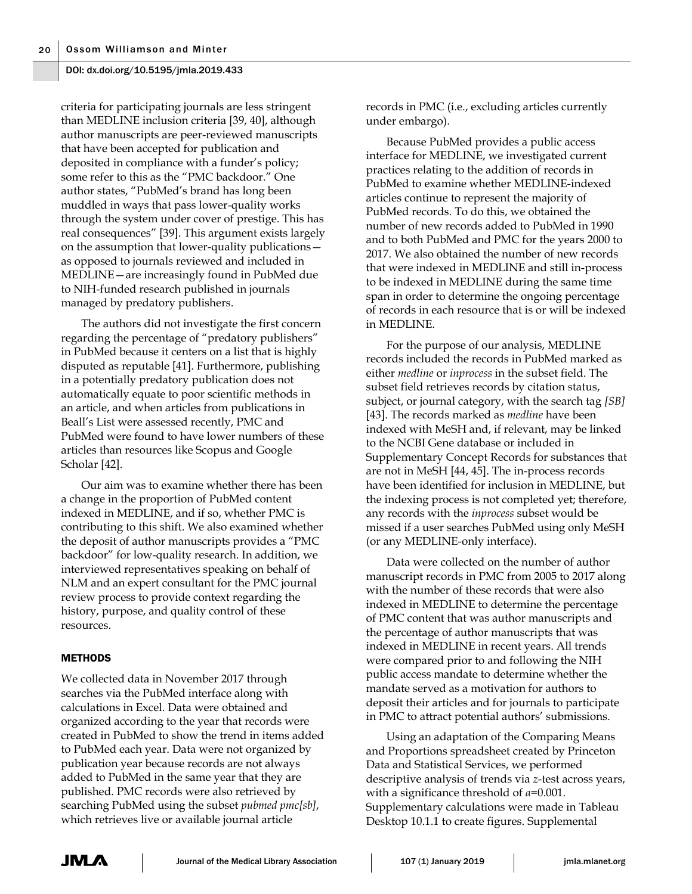criteria for participating journals are less stringent than MEDLINE inclusion criteria [39, 40], although author manuscripts are peer-reviewed manuscripts that have been accepted for publication and deposited in compliance with a funder's policy; some refer to this as the "PMC backdoor." One author states, "PubMed's brand has long been muddled in ways that pass lower-quality works through the system under cover of prestige. This has real consequences" [39]. This argument exists largely on the assumption that lower-quality publications as opposed to journals reviewed and included in MEDLINE—are increasingly found in PubMed due to NIH-funded research published in journals managed by predatory publishers.

The authors did not investigate the first concern regarding the percentage of "predatory publishers" in PubMed because it centers on a list that is highly disputed as reputable [41]. Furthermore, publishing in a potentially predatory publication does not automatically equate to poor scientific methods in an article, and when articles from publications in Beall's List were assessed recently, PMC and PubMed were found to have lower numbers of these articles than resources like Scopus and Google Scholar [42].

Our aim was to examine whether there has been a change in the proportion of PubMed content indexed in MEDLINE, and if so, whether PMC is contributing to this shift. We also examined whether the deposit of author manuscripts provides a "PMC backdoor" for low-quality research. In addition, we interviewed representatives speaking on behalf of NLM and an expert consultant for the PMC journal review process to provide context regarding the history, purpose, and quality control of these resources.

## **METHODS**

We collected data in November 2017 through searches via the PubMed interface along with calculations in Excel. Data were obtained and organized according to the year that records were created in PubMed to show the trend in items added to PubMed each year. Data were not organized by publication year because records are not always added to PubMed in the same year that they are published. PMC records were also retrieved by searching PubMed using the subset *pubmed pmc[sb]*, which retrieves live or available journal article

records in PMC (i.e., excluding articles currently under embargo).

Because PubMed provides a public access interface for MEDLINE, we investigated current practices relating to the addition of records in PubMed to examine whether MEDLINE-indexed articles continue to represent the majority of PubMed records. To do this, we obtained the number of new records added to PubMed in 1990 and to both PubMed and PMC for the years 2000 to 2017. We also obtained the number of new records that were indexed in MEDLINE and still in-process to be indexed in MEDLINE during the same time span in order to determine the ongoing percentage of records in each resource that is or will be indexed in MEDLINE.

For the purpose of our analysis, MEDLINE records included the records in PubMed marked as either *medline* or *inprocess* in the subset field. The subset field retrieves records by citation status, subject, or journal category, with the search tag *[SB]* [43]. The records marked as *medline* have been indexed with MeSH and, if relevant, may be linked to the NCBI Gene database or included in Supplementary Concept Records for substances that are not in MeSH [44, 45]. The in-process records have been identified for inclusion in MEDLINE, but the indexing process is not completed yet; therefore, any records with the *inprocess* subset would be missed if a user searches PubMed using only MeSH (or any MEDLINE-only interface).

Data were collected on the number of author manuscript records in PMC from 2005 to 2017 along with the number of these records that were also indexed in MEDLINE to determine the percentage of PMC content that was author manuscripts and the percentage of author manuscripts that was indexed in MEDLINE in recent years. All trends were compared prior to and following the NIH public access mandate to determine whether the mandate served as a motivation for authors to deposit their articles and for journals to participate in PMC to attract potential authors' submissions.

Using an adaptation of the Comparing Means and Proportions spreadsheet created by Princeton Data and Statistical Services, we performed descriptive analysis of trends via *z*-test across years, with a significance threshold of *α*=0.001. Supplementary calculations were made in Tableau Desktop 10.1.1 to create figures. Supplemental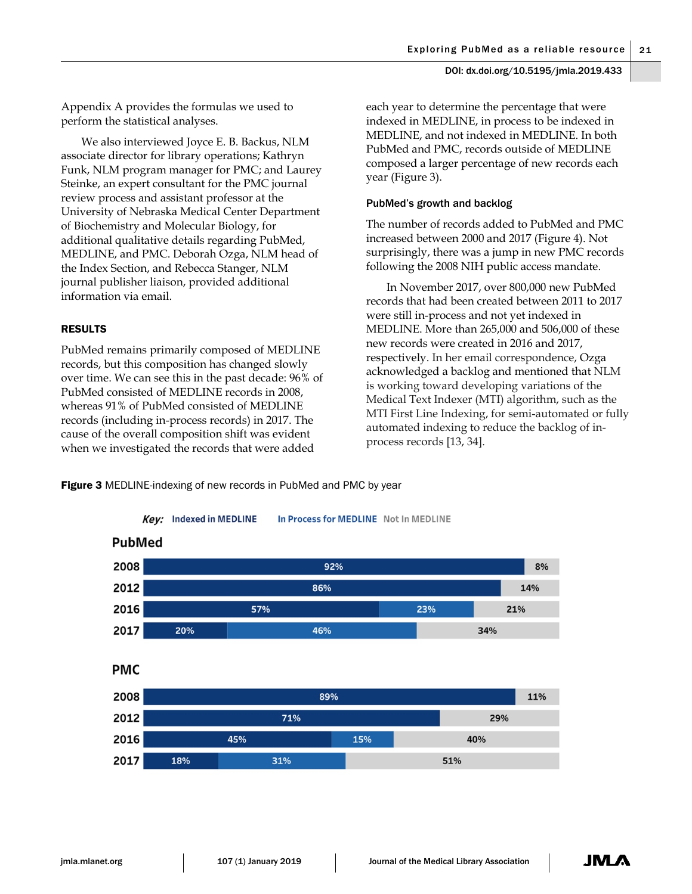Appendix A provides the formulas we used to perform the statistical analyses.

We also interviewed Joyce E. B. Backus, NLM associate director for library operations; Kathryn Funk, NLM program manager for PMC; and Laurey Steinke, an expert consultant for the PMC journal review process and assistant professor at the University of Nebraska Medical Center Department of Biochemistry and Molecular Biology, for additional qualitative details regarding PubMed, MEDLINE, and PMC. Deborah Ozga, NLM head of the Index Section, and Rebecca Stanger, NLM journal publisher liaison, provided additional information via email.

## RESULTS

PubMed remains primarily composed of MEDLINE records, but this composition has changed slowly over time. We can see this in the past decade: 96% of PubMed consisted of MEDLINE records in 2008, whereas 91% of PubMed consisted of MEDLINE records (including in-process records) in 2017. The cause of the overall composition shift was evident when we investigated the records that were added

each year to determine the percentage that were indexed in MEDLINE, in process to be indexed in MEDLINE, and not indexed in MEDLINE. In both PubMed and PMC, records outside of MEDLINE composed a larger percentage of new records each year (Figure 3).

## PubMed's growth and backlog

The number of records added to PubMed and PMC increased between 2000 and 2017 (Figure 4). Not surprisingly, there was a jump in new PMC records following the 2008 NIH public access mandate.

In November 2017, over 800,000 new PubMed records that had been created between 2011 to 2017 were still in-process and not yet indexed in MEDLINE. More than 265,000 and 506,000 of these new records were created in 2016 and 2017, respectively. In her email correspondence, Ozga acknowledged a backlog and mentioned that NLM is working toward developing variations of the Medical Text Indexer (MTI) algorithm, such as the MTI First Line Indexing, for semi-automated or fully automated indexing to reduce the backlog of inprocess records [13, 34].

Figure 3 MEDLINE-indexing of new records in PubMed and PMC by year

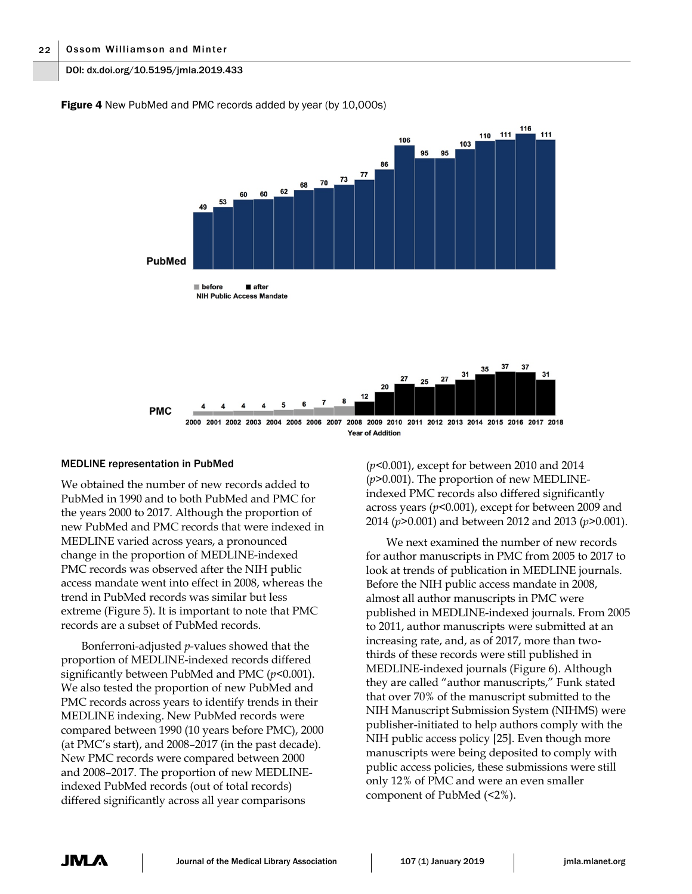

## **Figure 4** New PubMed and PMC records added by year (by 10,000s)

## MEDLINE representation in PubMed

We obtained the number of new records added to PubMed in 1990 and to both PubMed and PMC for the years 2000 to 2017. Although the proportion of new PubMed and PMC records that were indexed in MEDLINE varied across years, a pronounced change in the proportion of MEDLINE-indexed PMC records was observed after the NIH public access mandate went into effect in 2008, whereas the trend in PubMed records was similar but less extreme (Figure 5). It is important to note that PMC records are a subset of PubMed records.

Bonferroni-adjusted *p*-values showed that the proportion of MEDLINE-indexed records differed significantly between PubMed and PMC (*p*<0.001). We also tested the proportion of new PubMed and PMC records across years to identify trends in their MEDLINE indexing. New PubMed records were compared between 1990 (10 years before PMC), 2000 (at PMC's start), and 2008–2017 (in the past decade). New PMC records were compared between 2000 and 2008–2017. The proportion of new MEDLINEindexed PubMed records (out of total records) differed significantly across all year comparisons

(*p<*0.001), except for between 2010 and 2014 (*p*>0.001). The proportion of new MEDLINEindexed PMC records also differed significantly across years (*p<*0.001), except for between 2009 and 2014 (*p>*0.001) and between 2012 and 2013 (*p>*0.001).

We next examined the number of new records for author manuscripts in PMC from 2005 to 2017 to look at trends of publication in MEDLINE journals. Before the NIH public access mandate in 2008, almost all author manuscripts in PMC were published in MEDLINE-indexed journals. From 2005 to 2011, author manuscripts were submitted at an increasing rate, and, as of 2017, more than twothirds of these records were still published in MEDLINE-indexed journals (Figure 6). Although they are called "author manuscripts," Funk stated that over 70% of the manuscript submitted to the NIH Manuscript Submission System (NIHMS) were publisher-initiated to help authors comply with the NIH public access policy [25]. Even though more manuscripts were being deposited to comply with public access policies, these submissions were still only 12% of PMC and were an even smaller component of PubMed (<2%).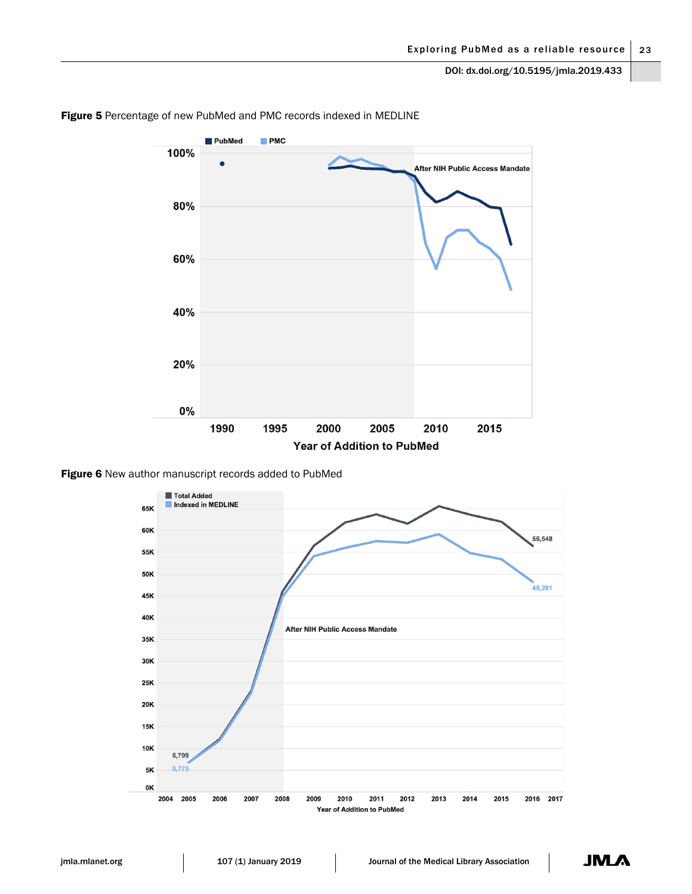

Figure 5 Percentage of new PubMed and PMC records indexed in MEDLINE

Figure 6 New author manuscript records added to PubMed



JML/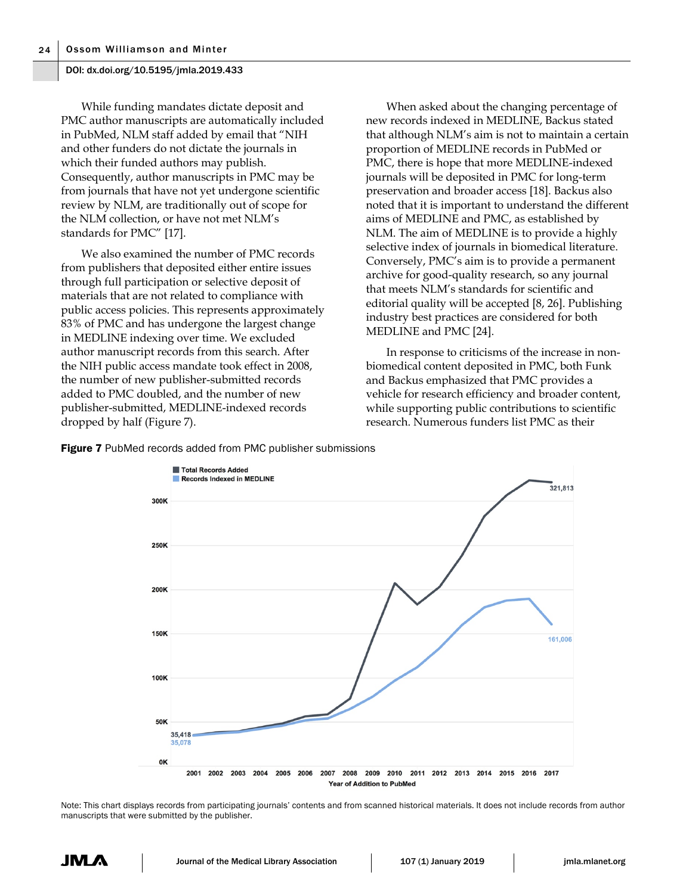While funding mandates dictate deposit and PMC author manuscripts are automatically included in PubMed, NLM staff added by email that "NIH and other funders do not dictate the journals in which their funded authors may publish. Consequently, author manuscripts in PMC may be from journals that have not yet undergone scientific review by NLM, are traditionally out of scope for the NLM collection, or have not met NLM's standards for PMC" [17].

We also examined the number of PMC records from publishers that deposited either entire issues through full participation or selective deposit of materials that are not related to compliance with public access policies. This represents approximately 83% of PMC and has undergone the largest change in MEDLINE indexing over time. We excluded author manuscript records from this search. After the NIH public access mandate took effect in 2008, the number of new publisher-submitted records added to PMC doubled, and the number of new publisher-submitted, MEDLINE-indexed records dropped by half (Figure 7).

When asked about the changing percentage of new records indexed in MEDLINE, Backus stated that although NLM's aim is not to maintain a certain proportion of MEDLINE records in PubMed or PMC, there is hope that more MEDLINE-indexed journals will be deposited in PMC for long-term preservation and broader access [18]. Backus also noted that it is important to understand the different aims of MEDLINE and PMC, as established by NLM. The aim of MEDLINE is to provide a highly selective index of journals in biomedical literature. Conversely, PMC's aim is to provide a permanent archive for good-quality research, so any journal that meets NLM's standards for scientific and editorial quality will be accepted [8, 26]. Publishing industry best practices are considered for both MEDLINE and PMC [24].

In response to criticisms of the increase in nonbiomedical content deposited in PMC, both Funk and Backus emphasized that PMC provides a vehicle for research efficiency and broader content, while supporting public contributions to scientific research. Numerous funders list PMC as their



**Figure 7** PubMed records added from PMC publisher submissions

Note: This chart displays records from participating journals' contents and from scanned historical materials. It does not include records from author manuscripts that were submitted by the publisher.

JM.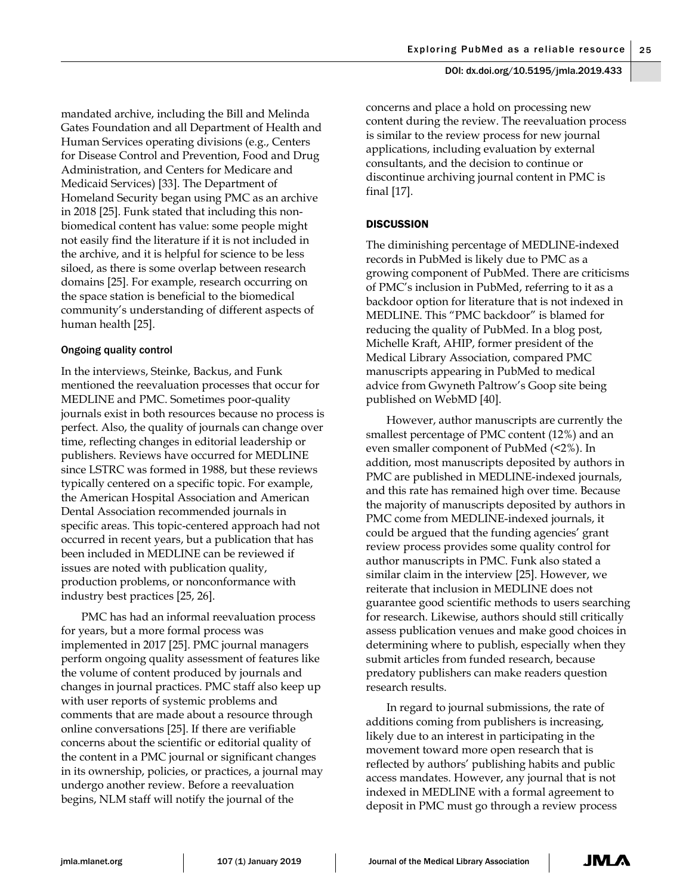mandated archive, including the Bill and Melinda Gates Foundation and all Department of Health and Human Services operating divisions (e.g., Centers for Disease Control and Prevention, Food and Drug Administration, and Centers for Medicare and Medicaid Services) [33]. The Department of Homeland Security began using PMC as an archive in 2018 [25]. Funk stated that including this nonbiomedical content has value: some people might not easily find the literature if it is not included in the archive, and it is helpful for science to be less siloed, as there is some overlap between research domains [25]. For example, research occurring on the space station is beneficial to the biomedical community's understanding of different aspects of human health [25].

## Ongoing quality control

In the interviews, Steinke, Backus, and Funk mentioned the reevaluation processes that occur for MEDLINE and PMC. Sometimes poor-quality journals exist in both resources because no process is perfect. Also, the quality of journals can change over time, reflecting changes in editorial leadership or publishers. Reviews have occurred for MEDLINE since LSTRC was formed in 1988, but these reviews typically centered on a specific topic. For example, the American Hospital Association and American Dental Association recommended journals in specific areas. This topic-centered approach had not occurred in recent years, but a publication that has been included in MEDLINE can be reviewed if issues are noted with publication quality, production problems, or nonconformance with industry best practices [25, 26].

PMC has had an informal reevaluation process for years, but a more formal process was implemented in 2017 [25]. PMC journal managers perform ongoing quality assessment of features like the volume of content produced by journals and changes in journal practices. PMC staff also keep up with user reports of systemic problems and comments that are made about a resource through online conversations [25]. If there are verifiable concerns about the scientific or editorial quality of the content in a PMC journal or significant changes in its ownership, policies, or practices, a journal may undergo another review. Before a reevaluation begins, NLM staff will notify the journal of the

concerns and place a hold on processing new content during the review. The reevaluation process is similar to the review process for new journal applications, including evaluation by external consultants, and the decision to continue or discontinue archiving journal content in PMC is final [17].

## **DISCUSSION**

The diminishing percentage of MEDLINE-indexed records in PubMed is likely due to PMC as a growing component of PubMed. There are criticisms of PMC's inclusion in PubMed, referring to it as a backdoor option for literature that is not indexed in MEDLINE. This "PMC backdoor" is blamed for reducing the quality of PubMed. In a blog post, Michelle Kraft, AHIP, former president of the Medical Library Association, compared PMC manuscripts appearing in PubMed to medical advice from Gwyneth Paltrow's Goop site being published on WebMD [40].

However, author manuscripts are currently the smallest percentage of PMC content (12%) and an even smaller component of PubMed (<2%). In addition, most manuscripts deposited by authors in PMC are published in MEDLINE-indexed journals, and this rate has remained high over time. Because the majority of manuscripts deposited by authors in PMC come from MEDLINE-indexed journals, it could be argued that the funding agencies' grant review process provides some quality control for author manuscripts in PMC. Funk also stated a similar claim in the interview [25]. However, we reiterate that inclusion in MEDLINE does not guarantee good scientific methods to users searching for research. Likewise, authors should still critically assess publication venues and make good choices in determining where to publish, especially when they submit articles from funded research, because predatory publishers can make readers question research results.

In regard to journal submissions, the rate of additions coming from publishers is increasing, likely due to an interest in participating in the movement toward more open research that is reflected by authors' publishing habits and public access mandates. However, any journal that is not indexed in MEDLINE with a formal agreement to deposit in PMC must go through a review process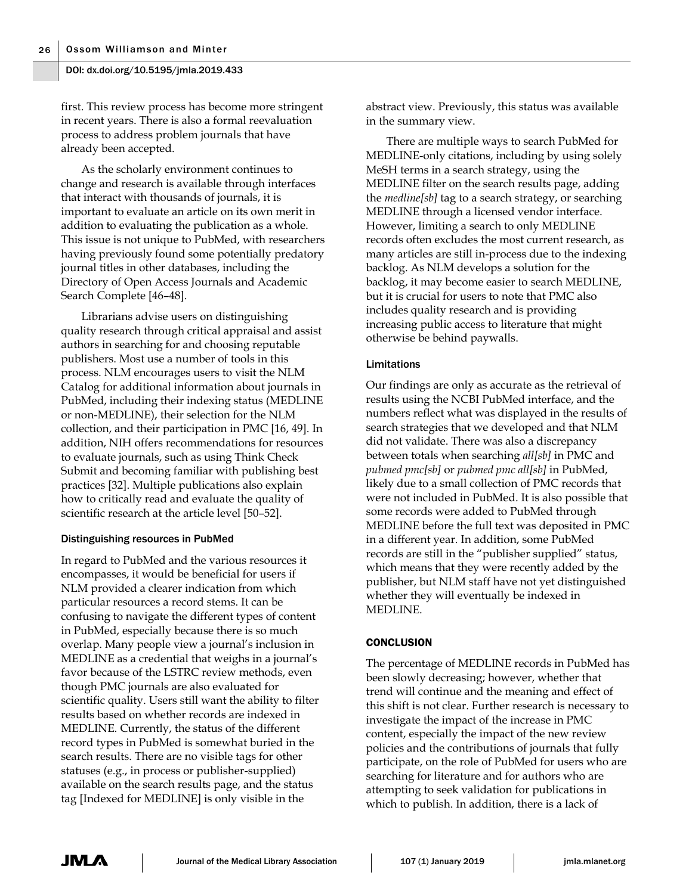first. This review process has become more stringent in recent years. There is also a formal reevaluation process to address problem journals that have already been accepted.

As the scholarly environment continues to change and research is available through interfaces that interact with thousands of journals, it is important to evaluate an article on its own merit in addition to evaluating the publication as a whole. This issue is not unique to PubMed, with researchers having previously found some potentially predatory journal titles in other databases, including the Directory of Open Access Journals and Academic Search Complete [46–48].

Librarians advise users on distinguishing quality research through critical appraisal and assist authors in searching for and choosing reputable publishers. Most use a number of tools in this process. NLM encourages users to visit the NLM Catalog for additional information about journals in PubMed, including their indexing status (MEDLINE or non-MEDLINE), their selection for the NLM collection, and their participation in PMC [16, 49]. In addition, NIH offers recommendations for resources to evaluate journals, such as using Think Check Submit and becoming familiar with publishing best practices [32]. Multiple publications also explain how to critically read and evaluate the quality of scientific research at the article level [50–52].

#### Distinguishing resources in PubMed

In regard to PubMed and the various resources it encompasses, it would be beneficial for users if NLM provided a clearer indication from which particular resources a record stems. It can be confusing to navigate the different types of content in PubMed, especially because there is so much overlap. Many people view a journal's inclusion in MEDLINE as a credential that weighs in a journal's favor because of the LSTRC review methods, even though PMC journals are also evaluated for scientific quality. Users still want the ability to filter results based on whether records are indexed in MEDLINE. Currently, the status of the different record types in PubMed is somewhat buried in the search results. There are no visible tags for other statuses (e.g., in process or publisher-supplied) available on the search results page, and the status tag [Indexed for MEDLINE] is only visible in the

abstract view. Previously, this status was available in the summary view.

There are multiple ways to search PubMed for MEDLINE-only citations, including by using solely MeSH terms in a search strategy, using the MEDLINE filter on the search results page, adding the *medline[sb]* tag to a search strategy, or searching MEDLINE through a licensed vendor interface. However, limiting a search to only MEDLINE records often excludes the most current research, as many articles are still in-process due to the indexing backlog. As NLM develops a solution for the backlog, it may become easier to search MEDLINE, but it is crucial for users to note that PMC also includes quality research and is providing increasing public access to literature that might otherwise be behind paywalls.

## Limitations

Our findings are only as accurate as the retrieval of results using the NCBI PubMed interface, and the numbers reflect what was displayed in the results of search strategies that we developed and that NLM did not validate. There was also a discrepancy between totals when searching *all[sb]* in PMC and *pubmed pmc[sb]* or *pubmed pmc all[sb]* in PubMed, likely due to a small collection of PMC records that were not included in PubMed. It is also possible that some records were added to PubMed through MEDLINE before the full text was deposited in PMC in a different year. In addition, some PubMed records are still in the "publisher supplied" status, which means that they were recently added by the publisher, but NLM staff have not yet distinguished whether they will eventually be indexed in MEDLINE.

## **CONCLUSION**

The percentage of MEDLINE records in PubMed has been slowly decreasing; however, whether that trend will continue and the meaning and effect of this shift is not clear. Further research is necessary to investigate the impact of the increase in PMC content, especially the impact of the new review policies and the contributions of journals that fully participate, on the role of PubMed for users who are searching for literature and for authors who are attempting to seek validation for publications in which to publish. In addition, there is a lack of

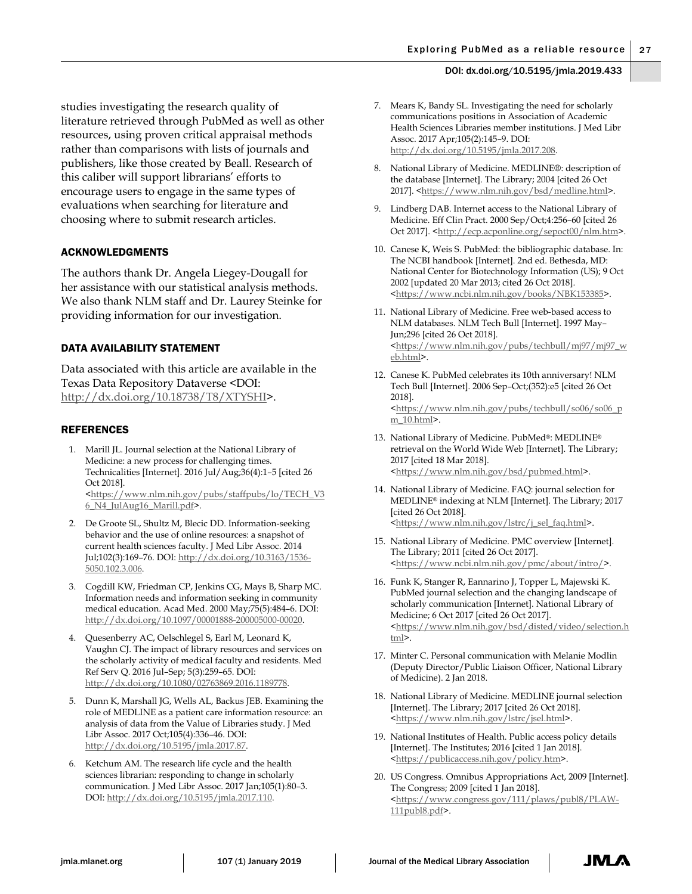studies investigating the research quality of literature retrieved through PubMed as well as other resources, using proven critical appraisal methods rather than comparisons with lists of journals and publishers, like those created by Beall. Research of this caliber will support librarians' efforts to encourage users to engage in the same types of evaluations when searching for literature and choosing where to submit research articles.

## ACKNOWLEDGMENTS

The authors thank Dr. Angela Liegey-Dougall for her assistance with our statistical analysis methods. We also thank NLM staff and Dr. Laurey Steinke for providing information for our investigation.

## DATA AVAILABILITY STATEMENT

Data associated with this article are available in the Texas Data Repository Dataverse <DOI: [http://dx.doi.org/10.18738/T8/XTYSHI>](http://dx.doi.org/10.18738/T8/XTYSHI).

## **REFERENCES**

1. Marill JL. Journal selection at the National Library of Medicine: a new process for challenging times. Technicalities [Internet]. 2016 Jul/Aug;36(4):1–5 [cited 26 Oct 2018]. [<https://www.nlm.nih.gov/pubs/staffpubs/lo/TECH\\_V3](https://www.nlm.nih.gov/pubs/staffpubs/lo/TECH_V36_N4_JulAug16_Marill.pdf)

[6\\_N4\\_JulAug16\\_Marill.pdf>](https://www.nlm.nih.gov/pubs/staffpubs/lo/TECH_V36_N4_JulAug16_Marill.pdf).

- 2. De Groote SL, Shultz M, Blecic DD. Information-seeking behavior and the use of online resources: a snapshot of current health sciences faculty. J Med Libr Assoc. 2014 Jul;102(3):169–76. DOI: [http://dx.doi.org/10.3163/1536-](https://doi.org/10.3163/1536-5050.102.3.006) [5050.102.3.006.](http://dx.doi.org/10.3163/1536-5050.102.3.006)
- 3. Cogdill KW, Friedman CP, Jenkins CG, Mays B, Sharp MC. Information needs and information seeking in community medical education. Acad Med. 2000 May;75(5):484–6. DO[I:](https://doi.org/10.1097/00001888-200005000-00020) [http://dx.doi.org/10.1097/00001888-200005000-00020.](http://dx.doi.org/10.1097/00001888-200005000-00020)
- 4. Quesenberry AC, Oelschlegel S, Earl M, Leonard K, Vaughn CJ. The impact of library resources and services on the scholarly activity of medical faculty and residents. Med Ref Serv Q. 2016 Jul–Sep; 5(3):259–65. DO[I:](https://doi.org/10.1080/02763869.2016.1189778) [http://dx.doi.org/10.1080/02763869.2016.1189778.](http://dx.doi.org/10.1080/02763869.2016.1189778)
- 5. Dunn K, Marshall JG, Wells AL, Backus JEB. Examining the role of MEDLINE as a patient care information resource: an analysis of data from the Value of Libraries study. J Med Libr Assoc. 2017 Oct;105(4):336–46. DO[I:](https://doi.org/10.5195/jmla.2017.87) [http://dx.doi.org/10.5195/jmla.2017.87.](http://dx.doi.org/10.5195/jmla.2017.87)
- 6. Ketchum AM. The research life cycle and the health sciences librarian: responding to change in scholarly communication. J Med Libr Assoc. 2017 Jan;105(1):80–3. DOI: [http://dx.doi.org/10.5195/jmla.2017.110.](https://doi.org/10.5195/jmla.2017.110)
- 7. Mears K, Bandy SL. Investigating the need for scholarly communications positions in Association of Academic Health Sciences Libraries member institutions. J Med Libr Assoc. 2017 Apr;105(2):145–9. DO[I:](https://doi.org/10.5195/jmla.2017.208) [http://dx.doi.org/10.5195/jmla.2017.208.](http://dx.doi.org/10.5195/jmla.2017.208)
- 8. National Library of Medicine. MEDLINE®: description of the database [Internet]. The Library; 2004 [cited 26 Oct 2017]. < https://www.nlm.nih.gov/bsd/medline.html>.
- 9. Lindberg DAB. Internet access to the National Library of Medicine. Eff Clin Pract. 2000 Sep/Oct;4:256–60 [cited 26 Oct 2017]. [<http://ecp.acponline.org/sepoct00/nlm.htm>](http://ecp.acponline.org/sepoct00/nlm.htm).
- 10. Canese K, Weis S. PubMed: the bibliographic database. In: The NCBI handbook [Internet]. 2nd ed. Bethesda, MD: National Center for Biotechnology Information (US); 9 Oct 2002 [updated 20 Mar 2013; cited 26 Oct 2018]. [<https://www.ncbi.nlm.nih.gov/books/NBK153385>](https://www.ncbi.nlm.nih.gov/books/NBK153385).
- 11. National Library of Medicine. Free web-based access to NLM databases. NLM Tech Bull [Internet]. 1997 May– Jun;296 [cited 26 Oct 2018]. [<https://www.nlm.nih.gov/pubs/techbull/mj97/mj97\\_w](https://www.nlm.nih.gov/pubs/techbull/mj97/mj97_web.html) [eb.html>](https://www.nlm.nih.gov/pubs/techbull/mj97/mj97_web.html).
- 12. Canese K. PubMed celebrates its 10th anniversary! NLM Tech Bull [Internet]. 2006 Sep–Oct;(352):e5 [cited 26 Oct 2018]. [<https://www.nlm.nih.gov/pubs/techbull/so06/so06\\_p](https://www.nlm.nih.gov/pubs/techbull/so06/so06_pm_10.html) [m\\_10.html>](https://www.nlm.nih.gov/pubs/techbull/so06/so06_pm_10.html).
- 13. National Library of Medicine. PubMed®: MEDLINE® retrieval on the World Wide Web [Internet]. The Library; 2017 [cited 18 Mar 2018]. [<https://www.nlm.nih.gov/bsd/pubmed.html>](https://www.nlm.nih.gov/bsd/pubmed.html).
- 14. National Library of Medicine. FAQ: journal selection for MEDLINE® indexing at NLM [Internet]. The Library; 2017 [cited 26 Oct 2018]. [<https://www.nlm.nih.gov/lstrc/j\\_sel\\_faq.html>](https://www.nlm.nih.gov/lstrc/j_sel_faq.html).
- 15. National Library of Medicine. PMC overview [Internet]. The Library; 2011 [cited 26 Oct 2017]. [<https://www.ncbi.nlm.nih.gov/pmc/about/intro/>](https://www.ncbi.nlm.nih.gov/pmc/about/intro/).
- 16. Funk K, Stanger R, Eannarino J, Topper L, Majewski K. PubMed journal selection and the changing landscape of scholarly communication [Internet]. National Library of Medicine; 6 Oct 2017 [cited 26 Oct 2017]. [<https://www.nlm.nih.gov/bsd/disted/video/selection.h](https://www.nlm.nih.gov/bsd/disted/video/selection.html) [tml>](https://www.nlm.nih.gov/bsd/disted/video/selection.html).
- 17. Minter C. Personal communication with Melanie Modlin (Deputy Director/Public Liaison Officer, National Library of Medicine). 2 Jan 2018.
- 18. National Library of Medicine. MEDLINE journal selection [Internet]. The Library; 2017 [cited 26 Oct 2018]. [<https://www.nlm.nih.gov/lstrc/jsel.html>](https://www.nlm.nih.gov/lstrc/jsel.html).
- 19. National Institutes of Health. Public access policy details [Internet]. The Institutes; 2016 [cited 1 Jan 2018]. [<https://publicaccess.nih.gov/policy.htm>](https://publicaccess.nih.gov/policy.htm).
- 20. US Congress. Omnibus Appropriations Act, 2009 [Internet]. The Congress; 2009 [cited 1 Jan 2018]. [<https://www.congress.gov/111/plaws/publ8/PLAW-](https://www.congress.gov/111/plaws/publ8/PLAW-111publ8.pdf)[111publ8.pdf>](https://www.congress.gov/111/plaws/publ8/PLAW-111publ8.pdf).

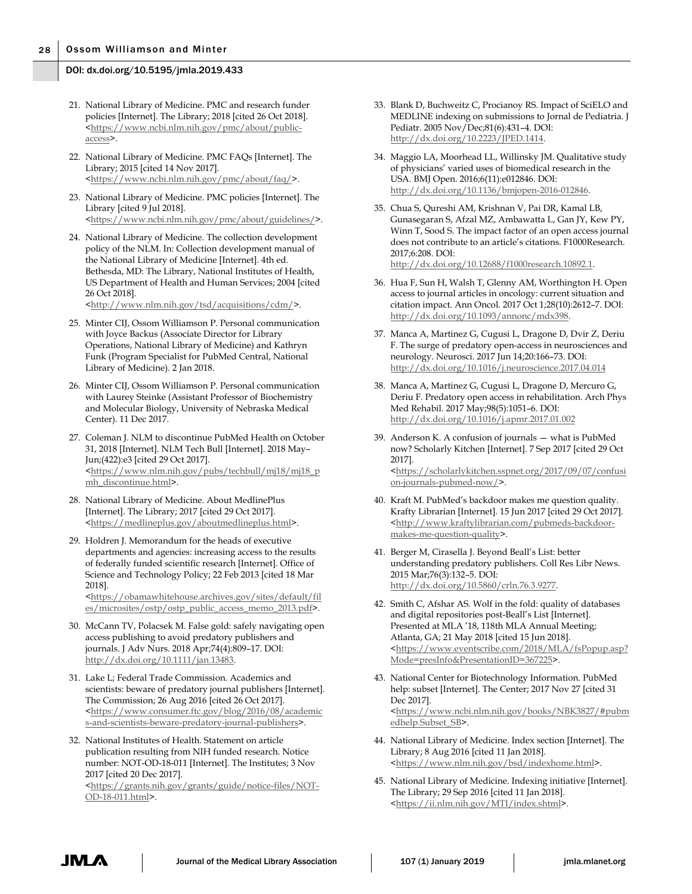- 21. National Library of Medicine. PMC and research funder policies [Internet]. The Library; 2018 [cited 26 Oct 2018]. [<https://www.ncbi.nlm.nih.gov/pmc/about/public](https://www.ncbi.nlm.nih.gov/pmc/about/public-access)[access>](https://www.ncbi.nlm.nih.gov/pmc/about/public-access).
- 22. National Library of Medicine. PMC FAQs [Internet]. The Library; 2015 [cited 14 Nov 2017]. [<https://www.ncbi.nlm.nih.gov/pmc/about/faq/>](https://www.ncbi.nlm.nih.gov/pmc/about/faq/).
- 23. National Library of Medicine. PMC policies [Internet]. The Library [cited 9 Jul 2018]. [<https://www.ncbi.nlm.nih.gov/pmc/about/guidelines/>](https://www.ncbi.nlm.nih.gov/pmc/about/guidelines/).
- 24. National Library of Medicine. The collection development policy of the NLM. In: Collection development manual of the National Library of Medicine [Internet]. 4th ed. Bethesda, MD: The Library, National Institutes of Health, US Department of Health and Human Services; 2004 [cited 26 Oct 2018].

[<http://www.nlm.nih.gov/tsd/acquisitions/cdm/>](http://www.nlm.nih.gov/tsd/acquisitions/cdm/).

- 25. Minter CIJ, Ossom Williamson P. Personal communication with Joyce Backus (Associate Director for Library Operations, National Library of Medicine) and Kathryn Funk (Program Specialist for PubMed Central, National Library of Medicine). 2 Jan 2018.
- 26. Minter CIJ, Ossom Williamson P. Personal communication with Laurey Steinke (Assistant Professor of Biochemistry and Molecular Biology, University of Nebraska Medical Center). 11 Dec 2017.
- 27. Coleman J. NLM to discontinue PubMed Health on October 31, 2018 [Internet]. NLM Tech Bull [Internet]. 2018 May– Jun;(422):e3 [cited 29 Oct 2017]. [<https://www.nlm.nih.gov/pubs/techbull/mj18/mj18\\_p](https://www.nlm.nih.gov/pubs/techbull/mj18/mj18_pmh_discontinue.html) [mh\\_discontinue.html>](https://www.nlm.nih.gov/pubs/techbull/mj18/mj18_pmh_discontinue.html).
- 28. National Library of Medicine. About MedlinePlus [Internet]. The Library; 2017 [cited 29 Oct 2017]. [<https://medlineplus.gov/aboutmedlineplus.html>](https://medlineplus.gov/aboutmedlineplus.html).
- 29. Holdren J. Memorandum for the heads of executive departments and agencies: increasing access to the results of federally funded scientific research [Internet]. Office of Science and Technology Policy; 22 Feb 2013 [cited 18 Mar 2018].

[<https://obamawhitehouse.archives.gov/sites/default/fil](https://obamawhitehouse.archives.gov/sites/default/files/microsites/ostp/ostp_public_access_memo_2013.pdf) [es/microsites/ostp/ostp\\_public\\_access\\_memo\\_2013.pdf>](https://obamawhitehouse.archives.gov/sites/default/files/microsites/ostp/ostp_public_access_memo_2013.pdf).

- 30. McCann TV, Polacsek M. False gold: safely navigating open access publishing to avoid predatory publishers and journals. J Adv Nurs. 2018 Apr;74(4):809–17. DO[I:](https://doi.org/10.1111/jan.13483) [http://dx.doi.org/10.1111/jan.13483.](http://dx.doi.org/10.1111/jan.13483)
- 31. Lake L; Federal Trade Commission. Academics and scientists: beware of predatory journal publishers [Internet]. The Commission; 26 Aug 2016 [cited 26 Oct 2017]. [<https://www.consumer.ftc.gov/blog/2016/08/academic](https://www.consumer.ftc.gov/blog/2016/08/academics-and-scientists-beware-predatory-journal-publishers) [s-and-scientists-beware-predatory-journal-publishers>](https://www.consumer.ftc.gov/blog/2016/08/academics-and-scientists-beware-predatory-journal-publishers).
- 32. National Institutes of Health. Statement on article publication resulting from NIH funded research. Notice number: NOT-OD-18-011 [Internet]. The Institutes; 3 Nov 2017 [cited 20 Dec 2017].

[<https://grants.nih.gov/grants/guide/notice-files/NOT-](https://grants.nih.gov/grants/guide/notice-files/NOT-OD-18-011.html)[OD-18-011.html>](https://grants.nih.gov/grants/guide/notice-files/NOT-OD-18-011.html).

- 33. Blank D, Buchweitz C, Procianoy RS. Impact of SciELO and MEDLINE indexing on submissions to Jornal de Pediatria. J Pediatr. 2005 Nov/Dec;81(6):431–4. DO[I:](http://dx.doi.org/10.2223/JPED.1414) [http://dx.doi.org/10.2223/JPED.1414.](http://dx.doi.org/10.2223/JPED.1414)
- 34. Maggio LA, Moorhead LL, Willinsky JM. Qualitative study of physicians' varied uses of biomedical research in the USA. BMJ Open. 2016;6(11):e012846. DO[I:](https://doi.org/10.1136/bmjopen-2016-012846) [http://dx.doi.org/10.1136/bmjopen-2016-012846.](http://dx.doi.org/10.1136/bmjopen-2016-012846)
- 35. Chua S, Qureshi AM, Krishnan V, Pai DR, Kamal LB, Gunasegaran S, Afzal MZ, Ambawatta L, Gan JY, Kew PY, Winn T, Sood S. The impact factor of an open access journal does not contribute to an article's citations. F1000Research. 2017;6:208. DOI[:](https://doi.org/10.12688/f1000research.10892.1) [http://dx.doi.org/10.12688/f1000research.10892.1.](http://dx.doi.org/10.12688/f1000research.10892.1)
- 36. Hua F, Sun H, Walsh T, Glenny AM, Worthington H. Open access to journal articles in oncology: current situation and citation impact. Ann Oncol. 2017 Oct 1;28(10):2612–7. DO[I:](https://doi.org/10.1093/annonc/mdx398) [http://dx.doi.org/10.1093/annonc/mdx398.](http://dx.doi.org/10.1093/annonc/mdx398)
- 37. Manca A, Martinez G, Cugusi L, Dragone D, Dvir Z, Deriu F. The surge of predatory open-access in neurosciences and neurology. Neurosci. 2017 Jun 14;20:166–73. DOI: <http://dx.doi.org/10.1016/j.neuroscience.2017.04.014>
- 38. Manca A, Martinez G, Cugusi L, Dragone D, Mercuro G, Deriu F. Predatory open access in rehabilitation. Arch Phys Med Rehabil. 2017 May;98(5):1051–6. DOI: <http://dx.doi.org/10.1016/j.apmr.2017.01.002>
- 39. Anderson K. A confusion of journals what is PubMed now? Scholarly Kitchen [Internet]. 7 Sep 2017 [cited 29 Oct 2017]. [<https://scholarlykitchen.sspnet.org/2017/09/07/confusi](https://scholarlykitchen.sspnet.org/2017/09/07/confusion-journals-pubmed-now/) [on-journals-pubmed-now/>](https://scholarlykitchen.sspnet.org/2017/09/07/confusion-journals-pubmed-now/).
- 40. Kraft M. PubMed's backdoor makes me question quality. Krafty Librarian [Internet]. 15 Jun 2017 [cited 29 Oct 2017]. [<http://www.kraftylibrarian.com/pubmeds-backdoor](http://www.kraftylibrarian.com/pubmeds-backdoor-makes-me-question-quality)[makes-me-question-quality>](http://www.kraftylibrarian.com/pubmeds-backdoor-makes-me-question-quality).
- 41. Berger M, Cirasella J. Beyond Beall's List: better understanding predatory publishers. Coll Res Libr News. 2015 Mar;76(3):132–5. DOI: [http://dx.doi.org/10.5860/crln.76.3.9277.](http://dx.doi.org/10.5860/crln.76.3.9277)
- 42. Smith C, Afshar AS. Wolf in the fold: quality of databases and digital repositories post-Beall's List [Internet]. Presented at MLA '18, 118th MLA Annual Meeting; Atlanta, GA; 21 May 2018 [cited 15 Jun 2018]. [<https://www.eventscribe.com/2018/MLA/fsPopup.asp?](https://www.eventscribe.com/2018/MLA/fsPopup.asp?Mode=presInfo&PresentationID=367225) [Mode=presInfo&PresentationID=367225>](https://www.eventscribe.com/2018/MLA/fsPopup.asp?Mode=presInfo&PresentationID=367225).
- 43. National Center for Biotechnology Information. PubMed help: subset [Internet]. The Center; 2017 Nov 27 [cited 31 Dec 2017]. [<https://www.ncbi.nlm.nih.gov/books/NBK3827/#pubm](https://www.ncbi.nlm.nih.gov/books/NBK3827/#pubmedhelp.Subset_SB) [edhelp.Subset\\_SB>](https://www.ncbi.nlm.nih.gov/books/NBK3827/#pubmedhelp.Subset_SB).
- 44. National Library of Medicine. Index section [Internet]. The Library; 8 Aug 2016 [cited 11 Jan 2018]. [<https://www.nlm.nih.gov/bsd/indexhome.html>](https://www.nlm.nih.gov/bsd/indexhome.html).
- 45. National Library of Medicine. Indexing initiative [Internet]. The Library; 29 Sep 2016 [cited 11 Jan 2018]. [<https://ii.nlm.nih.gov/MTI/index.shtml>](https://ii.nlm.nih.gov/MTI/index.shtml).